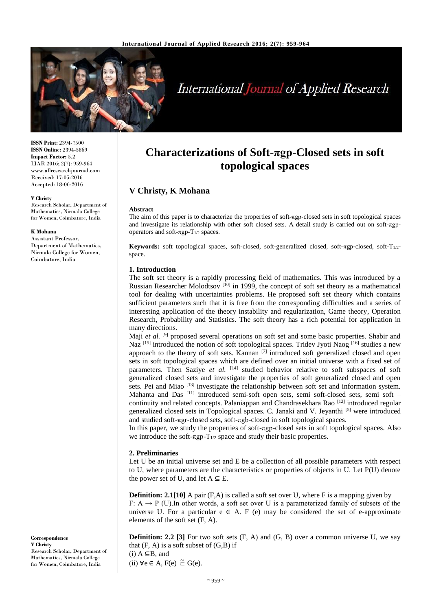

# **International Journal of Applied Research**

**ISSN Print:** 2394-7500 **ISSN Online:** 2394-5869 **Impact Factor:** 5.2 IJAR 2016; 2(7): 959-964 www.allresearchjournal.com Received: 17-05-2016 Accepted: 18-06-2016

#### **V Christy**

Research Scholar, Department of Mathematics, Nirmala College for Women, Coimbatore, India

#### **K Mohana**

Assistant Professor, Department of Mathematics, Nirmala College for Women, Coimbatore, India

**Correspondence V Christy** Research Scholar, Department of Mathematics, Nirmala College for Women, Coimbatore, India

## **Characterizations of Soft-πgp-Closed sets in soft topological spaces**

## **V Christy, K Mohana**

#### **Abstract**

The aim of this paper is to characterize the properties of soft-πgp-closed sets in soft topological spaces and investigate its relationship with other soft closed sets. A detail study is carried out on soft-πgpoperators and soft- $πgp-T<sub>1/2</sub>$  spaces.

**Keywords:** soft topological spaces, soft-closed, soft-generalized closed, soft- $T_{1/2}$ space.

#### **1. Introduction**

The soft set theory is a rapidly processing field of mathematics. This was introduced by a Russian Researcher Molodtsov  $[10]$  in 1999, the concept of soft set theory as a mathematical tool for dealing with uncertainties problems. He proposed soft set theory which contains sufficient parameters such that it is free from the corresponding difficulties and a series of interesting application of the theory instability and regularization, Game theory, Operation Research, Probability and Statistics. The soft theory has a rich potential for application in many directions.

Maji et al. <sup>[9]</sup> proposed several operations on soft set and some basic properties. Shabir and Naz <sup>[15]</sup> introduced the notion of soft topological spaces. Tridev Jyoti Naog <sup>[16]</sup> studies a new approach to the theory of soft sets. Kannan [7] introduced soft generalized closed and open sets in soft topological spaces which are defined over an initial universe with a fixed set of parameters. Then Saziye *et al.* [14] studied behavior relative to soft subspaces of soft generalized closed sets and investigate the properties of soft generalized closed and open sets. Pei and Miao [13] investigate the relationship between soft set and information system. Mahanta and Das<sup>[11]</sup> introduced semi-soft open sets, semi soft-closed sets, semi soft – continuity and related concepts. Palaniappan and Chandrasekhara Rao [12] introduced regular generalized closed sets in Topological spaces. C. Janaki and V. Jeyanthi [5] were introduced and studied soft-πgr-closed sets, soft-πgb-closed in soft topological spaces.

In this paper, we study the properties of soft-πgp-closed sets in soft topological spaces. Also we introduce the soft- $\pi gp - T_{1/2}$  space and study their basic properties.

#### **2. Preliminaries**

Let U be an initial universe set and E be a collection of all possible parameters with respect to U, where parameters are the characteristics or properties of objects in U. Let P(U) denote the power set of U, and let  $A \subseteq E$ .

**Definition: 2.1[10]** A pair (F,A) is called a soft set over U, where F is a mapping given by F:  $A \rightarrow P$  (U). In other words, a soft set over U is a parameterized family of subsets of the universe U. For a particular  $e \in A$ . F (e) may be considered the set of e-approximate elements of the soft set (F, A).

**Definition: 2.2 [3]** For two soft sets (F, A) and (G, B) over a common universe U, we say that  $(F, A)$  is a soft subset of  $(G, B)$  if  $(i)$  A  $\subseteq$ B, and (ii)  $\forall e \in A$ ,  $F(e) \stackrel{\sim}{\subset} G(e)$ .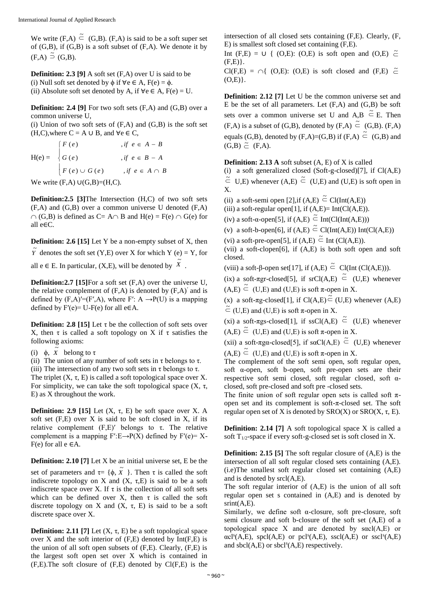We write  $(F,A) \stackrel{\sim}{\subset} (G,B)$ .  $(F,A)$  is said to be a soft super set of  $(G,B)$ , if  $(G,B)$  is a soft subset of  $(F,A)$ . We denote it by  $(F,A) \stackrel{\sim}{\supset} (G,B).$ 

**Definition: 2.3 [9]** A soft set (F,A) over U is said to be (i) Null soft set denoted by  $\phi$  if  $\forall e \in A$ ,  $F(e) = \phi$ . (ii) Absolute soft set denoted by A, if  $\forall e \in A, F(e) = U$ .

**Definition: 2.4 [9]** For two soft sets (F,A) and (G,B) over a common universe U,

(i) Union of two soft sets of  $(F.A)$  and  $(G.B)$  is the soft set (H,C),where  $C = A \cup B$ , and  $\forall e \in C$ ,

$$
H(e) = \begin{cases} F(e) & , if \ e \in A - B \\ G(e) & , if \ e \in B - A \\ F(e) \cup G(e) & , if \ e \in A \cap B \end{cases}
$$

We write  $(F,A) \cup (G,B) = (H,C)$ .

**Definition:2.5 [3]**The Intersection (H,C) of two soft sets (F,A) and (G,B) over a common universe U denoted (F,A)  $\cap$  (G,B) is defined as C= A $\cap$  B and H(e) = F(e)  $\cap$  G(e) for all e∈C.

**Definition: 2.6 [15]** Let Y be a non-empty subset of X, then

 $\tilde{Y}$  denotes the soft set (Y,E) over X for which Y (e) = Y, for

all e  $\in$  E. In particular, (X,E), will be denoted by  $\tilde{X}$ .

**Definition:2.7 [15]**For a soft set  $(F, A)$  over the universe U, the relative complement of  $(F,A)$  is denoted by  $(F,A)$ <sup>'</sup> and is defined by  $(F,A) = (F',A)$ , where  $F' : A \rightarrow P(U)$  is a mapping defined by  $F'(e) = U - F(e)$  for all  $e \in A$ .

**Definition: 2.8 [15]** Let  $\tau$  be the collection of soft sets over X, then τ is called a soft topology on X if τ satisfies the following axioms:

(i)  $\phi$ ,  $\tilde{X}$  belong to  $\tau$ 

(ii) The union of any number of soft sets in  $\tau$  belongs to  $\tau$ .

(iii) The intersection of any two soft sets in  $\tau$  belongs to  $\tau$ . The triplet  $(X, \tau, E)$  is called a soft topological space over X. For simplicity, we can take the soft topological space  $(X, τ, χ)$ E) as X throughout the work.

**Definition: 2.9 [15]** Let  $(X, \tau, E)$  be soft space over X. A soft set  $(F,E)$  over X is said to be soft closed in X, if its relative complement  $(F,E)'$  belongs to τ. The relative complement is a mapping  $F'E\rightarrow P(X)$  defined by  $F'(e)= X F(e)$  for all  $e \in A$ .

**Definition: 2.10 [7]** Let X be an initial universe set, E be the set of parameters and  $\tau = \{\phi, \tilde{X}\}$ . Then  $\tau$  is called the soft indiscrete topology on X and  $(X, \tau, E)$  is said to be a soft indiscrete space over X. If  $\tau$  is the collection of all soft sets which can be defined over X, then  $\tau$  is called the soft discrete topology on X and  $(X, \tau, E)$  is said to be a soft discrete space over X.

**Definition: 2.11 [7]** Let  $(X, \tau, E)$  be a soft topological space over X and the soft interior of (F,E) denoted by Int(F,E) is the union of all soft open subsets of (F,E). Clearly, (F,E) is the largest soft open set over X which is contained in (F,E).The soft closure of (F,E) denoted by Cl(F,E) is the intersection of all closed sets containing (F,E). Clearly, (F, E) is smallest soft closed set containing (F,E).

Int (F,E) =  $\cup$  { (O,E): (O,E) is soft open and (O,E)  $\tilde{\subset}$  $(F,E)$ .

 $Cl(F,E) = \bigcap \{ (O,E): (O,E) \text{ is soft closed and } (F,E) \subset \tilde{\subset}$  $(O.E)$ .

**Definition: 2.12 [7]** Let U be the common universe set and E be the set of all parameters. Let  $(F,A)$  and  $(G,B)$  be soft sets over a common universe set U and  $A,B \tilde{\subset} E$ . Then  $(F,A)$  is a subset of  $(G,B)$ , denoted by  $(F,A) \stackrel{\sim}{\subset} (G,B)$ .  $(F,A)$ equals (G,B), denoted by  $(F,A)=(G,B)$  if  $(F,A) \stackrel{\sim}{\subset} (G,B)$  and  $(G,B) \simeq (F,A).$ 

**Definition: 2.13 A** soft subset (A, E) of X is called

(i) a soft generalized closed (Soft-g-closed)[7], if  $Cl(A,E)$  $\tilde{\subset}$  U,E) whenever  $(A,E) \tilde{\subset}$  (U,E) and (U,E) is soft open in X.

(ii) a soft-semi open [2], if  $(A,E) \subseteq Cl(Int(A,E))$ 

(iii) a soft-regular open[1], if  $(A,E)=Int(Cl(A,E)).$ 

(iv) a soft-α-open[5], if  $(A,E) \subseteq Int(Cl(int(A,E)))$ 

(v) a soft-b-open[6], if  $(A,E) \subseteq Cl(Int(A,E))$  Int(Cl(A,E)) (vi) a soft-pre-open[5], if  $(A,E) \stackrel{\sim}{\subset}$  Int  $(Cl(A,E))$ .

(vii) a soft-clopen[6], if (A,E) is both soft open and soft closed.

(viii) a soft-β-open set[17], if (A,E)  $\tilde{\subset}$  Cl(Int (Cl(A,E))).

(ix) a soft- $\pi$ gr-closed[5], if srCl(A,E)  $\tilde{\subset}$  (U,E) whenever  $(A, E) \stackrel{\sim}{\subset} (U, E)$  and  $(U, E)$  is soft  $\pi$ -open in X.

(x) a soft- $\pi$ g-closed[1], if Cl(A,E) $\tilde{\subset}$  (U,E) whenever (A,E)  $\tilde{\subset}$  (U,E) and (U,E) is soft  $\pi$ -open in X.

(xi) a soft- $\pi$ gs-closed[1], if ssCl(A,E)  $\tilde{\subset}$  (U,E) whenever  $(A, E) \stackrel{\sim}{\subset} (U, E)$  and  $(U, E)$  is soft  $\pi$ -open in X.

(xii) a soft-πgα-closed[5], if sαCl(A,E)  $\tilde{C}$  (U,E) whenever  $(A, E) \stackrel{\sim}{\subset} (U, E)$  and  $(U, E)$  is soft  $\pi$ -open in X.

The complement of the soft semi open, soft regular open, soft  $\alpha$ -open, soft b-open, soft pre-open sets are their respective soft semi closed, soft regular closed, soft αclosed, soft pre-closed and soft pre -closed sets.

The finite union of soft regular open sets is called soft  $\pi$ open set and its complement is soft-π-closed set. The soft regular open set of X is denoted by SRO(X) or SRO(X, τ, E).

**Definition: 2.14 [7]** A soft topological space X is called a soft  $T_{1/2}$ -space if every soft-g-closed set is soft closed in X.

**Definition: 2.15 [5]** The soft regular closure of  $(A,E)$  is the intersection of all soft regular closed sets containing (A,E). (i.e)The smallest soft regular closed set containing (A,E) and is denoted by srcl(A,E).

The soft regular interior of (A,E) is the union of all soft regular open set s contained in (A,E) and is denoted by  $srint(A,E)$ .

Similarly, we define soft α-closure, soft pre-closure, soft semi closure and soft b-closure of the soft set (A,E) of a topological space X and are denoted by  $s\alpha cl(A,E)$  or  $\alpha c l^{s}(A, E)$ , spcl(A,E) or pcl<sup>s</sup>(A,E), sscl(A,E) or sscl<sup>s</sup>(A,E) and  $\text{sbcl}(A, E)$  or  $\text{sbcl}^s(A, E)$  respectively.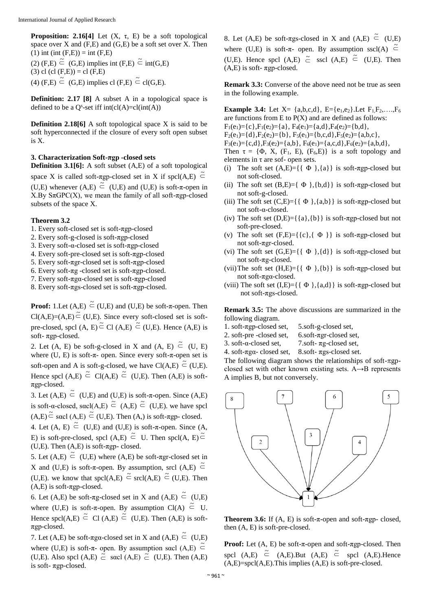**Proposition: 2.16[4]** Let  $(X, \tau, E)$  be a soft topological space over  $X$  and  $(F,E)$  and  $(G,E)$  be a soft set over  $X$ . Then  $(1)$  int (int  $(F,E)$ ) = int  $(F,E)$ 

(2) (F,E)  $\leq$  (G,E) implies int (F,E)  $\leq$  int(G,E) (3) cl (cl  $(F,E)$ ) = cl  $(F,E)$ 

(4)  $(F,E) \subseteq G,E$  implies cl  $(F,E) \subseteq cl(G,E)$ .

**Definition: 2.17 [8]** A subset A in a topological space is defined to be a  $Q^s$ -set iff int(cl(A)=cl(int(A))

**Definition 2.18[6]** A soft topological space X is said to be soft hyperconnected if the closure of every soft open subset is X.

## **3. Characterization Soft-πgp -closed sets**

**Definition 3.1[6]:** A soft subset (A,E) of a soft topological

space X is called soft- $\pi$ gp-closed set in X if spcl(A,E)  $\tilde{\subset}$ (U,E) whenever  $(A,E) \subseteq (U,E)$  and  $(U,E)$  is soft- $\pi$ -open in X.By SπGPC(X), we mean the family of all soft-πgp-closed subsets of the space X.

## **Theorem 3.2**

- 1. Every soft-closed set is soft-πgp-closed
- 2. Every soft-g-closed is soft-πgp-closed
- 3. Every soft-α-closed set is soft-πgp-closed
- 4. Every soft-pre-closed set is soft-πgp-closed
- 5. Every soft-πgr-closed set is soft-πgp-closed
- 6. Every soft-πg -closed set is soft-πgp-closed.
- 7. Every soft-πgα-closed set is soft-πgp-closed
- 8. Every soft-πgs-closed set is soft-πgp-closed.

**Proof:** 1.Let  $(A,E) \subseteq (U,E)$  and  $(U,E)$  be soft- $\pi$ -open. Then  $Cl(A,E)=(A,E) \stackrel{\sim}{\subset} (U,E)$ . Since every soft-closed set is softpre-closed, spcl  $(A, E) \subseteq Cl(A,E) \subseteq (U,E)$ . Hence  $(A,E)$  is soft- πgp-closed.

2. Let (A, E) be soft-g-closed in X and (A, E)  $\tilde{\subset}$  (U, E) where  $(U, E)$  is soft- $\pi$ - open. Since every soft- $\pi$ -open set is soft-open and A is soft-g-closed, we have  $Cl(A,E) \stackrel{\sim}{\subset} (U,E)$ . Hence spcl (A,E)  $\leq$  Cl(A,E)  $\leq$  (U,E). Then (A,E) is softπgp-closed.

3. Let  $(A,E) \stackrel{\sim}{\subset} (U,E)$  and  $(U,E)$  is soft- $\pi$ -open. Since  $(A,E)$ is soft-α-closed, sacl(A,E)  $\tilde{\subset}$  (A,E)  $\tilde{\subset}$  (U,E). we have spcl  $(A, E) \stackrel{\sim}{\subset}$  sacl  $(A, E) \stackrel{\sim}{\subset} (U, E)$ . Then  $(A, )$  is soft- $\pi$ gp-closed.

4. Let  $(A, E) \stackrel{\sim}{\subset} (U,E)$  and  $(U,E)$  is soft- $\pi$ -open. Since  $(A, E)$ E) is soft-pre-closed, spcl (A,E)  $\tilde{\subset}$  U. Then spcl(A, E) $\tilde{\subset}$ (U,E). Then  $(A,E)$  is soft- $\pi$ gp- closed.

5. Let  $(A, E) \subseteq (U, E)$  where  $(A, E)$  be soft- $\pi$ gr-closed set in X and (U,E) is soft- $\pi$ -open. By assumption, srcl (A,E)  $\tilde{\subset}$ (U,E). we know that  $spcl(A,E) \stackrel{\simeq}{\subset} srel(A,E) \stackrel{\simeq}{\subset} (U,E)$ . Then  $(A,E)$  is soft- $\pi$ gp-closed.

6. Let (A,E) be soft- $\pi$ g-closed set in X and (A,E)  $\tilde{\subset}$  (U,E) where (U,E) is soft- $\pi$ -open. By assumption Cl(A)  $\tilde{\subset}$  U. Hence spcl(A,E)  $\stackrel{\sim}{\subset}$  Cl(A,E)  $\stackrel{\sim}{\subset}$  (U,E). Then (A,E) is softπgp-closed.

7. Let (A,E) be soft- $\pi$ gα-closed set in X and (A,E)  $\tilde{\subset}$  (U,E) where (U,E) is soft- $\pi$ - open. By assumption sacl (A,E)  $\tilde{\subset}$ (U,E). Also spcl (A,E)  $\stackrel{1}{\subset}$  sacl (A,E)  $\stackrel{2}{\subset}$  (U,E). Then (A,E) is soft- πgp-closed.

8. Let (A,E) be soft- $\pi$ gs-closed in X and (A,E)  $\tilde{\subset}$  (U,E) where (U,E) is soft- $\pi$ - open. By assumption sscl(A)  $\tilde{\subset}$ (U,E). Hence spcl  $(A,E) \tilde{\subset}$  sscl  $(A,E) \tilde{\subset}$  (U,E). Then

 $(A,E)$  is soft-  $\pi$ gp-closed.

**Remark 3.3:** Converse of the above need not be true as seen in the following example.

**Example 3.4:** Let  $X = \{a,b,c,d\}$ ,  $E = \{e_1,e_2\}$ . Let  $F_1F_2,...,F_6$ are functions from  $E$  to  $P(X)$  and are defined as follows:

- $F_1(e_1) = \{c\}, F_1(e_2) = \{a\}, F_4(e_1) = \{a,d\}, F_4(e_2) = \{b,d\},$
- $F_2(e_1) = \{d\}, F_2(e_2) = \{b\}, F_5(e_1) = \{b,c,d\}, F_5(e_2) = \{a,b,c\},$
- $F_3(e_1) = \{c,d\}, F_3(e_2) = \{a,b\}, F_6(e_1) = \{a,c,d\}, F_6(e_2) = \{a,b,d\},$

Then  $\tau = {\Phi, X, (F_1, E), (F_6, E)}$  is a soft topology and elements in  $\tau$  are sof- open sets.

- (i) The soft set  $(A, E) = \{ \{ \Phi \}, \{a\} \}$  is soft- $\pi$ gp-closed but not soft-closed.
- (ii) The soft set  $(B, E) = \{ \Phi \}, \{b, d\}$  is soft- $\pi$ gp-closed but not soft-g-closed.
- (iii) The soft set  $(C,E) = \{ \{ \Phi \}, \{a,b\} \}$  is soft- $\pi$ gp-closed but not soft-α-closed.
- (iv) The soft set  $(D,E) = \{\{a\},\{b\}\}\$ is soft-πgp-closed but not soft-pre-closed.
- (v) The soft set  $(F,E)= \{c\}, \{\Phi\} \}$  is soft-πgp-closed but not soft-πgr-closed.
- (vi) The soft set  $(G,E)=\{ \{ \Phi \} , \{d\} \}$  is soft- $\pi gp$ -closed but not soft-πg-closed.
- (vii)The soft set  $(H,E)=\{ \{ \Phi \} , \{b\} \}$  is soft-πgp-closed but not soft-πgα-closed.
- (viii) The soft set  $(I,E)=\{\{\Phi\},\{a,d\}\}\$ is soft-πgp-closed but not soft-πgs-closed.

**Remark 3.5:** The above discussions are summarized in the following diagram.

- 1. soft- $\pi$ gp-closed set, 5.soft-g-closed set,
- 2. soft-pre -closed set, 6.soft-πgr-closed set,
- 3. soft-α-closed set, 7.soft- πg-closed set,
- 4. soft-πgα- closed set, 8.soft- πgs-closed set.

The following diagram shows the relationships of soft- $\pi$ gpclosed set with other known existing sets. A→B represents A implies B, but not conversely.



**Theorem 3.6:** If  $(A, E)$  is soft- $\pi$ -open and soft- $\pi$ gp- closed, then (A, E) is soft-pre-closed.

**Proof:** Let (A, E) be soft-π-open and soft-πgp-closed. Then spcl  $(A,E) \subseteq (A,E)$ .But  $(A,E) \subseteq$  spcl  $(A,E)$ .Hence  $(A, E)$ =spcl $(A, E)$ . This implies  $(A, E)$  is soft-pre-closed.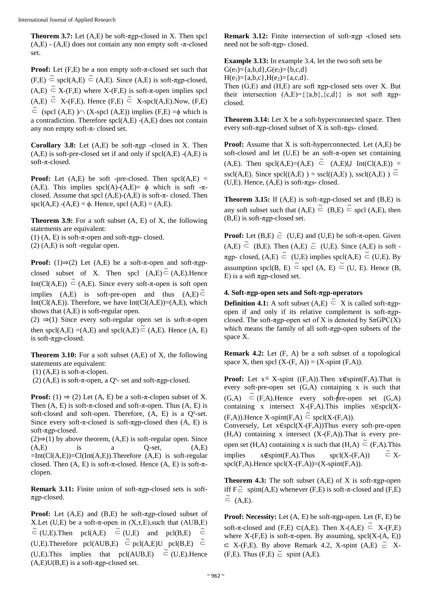**Theorem 3.7:** Let (A,E) be soft-πgp-closed in X. Then spcl  $(A,E)$  -  $(A,E)$  does not contain any non empty soft -π-closed set.

**Proof:** Let (F,E) be a non empty soft-π-closed set such that  $(F,E) \stackrel{\sim}{\subset}$  spcl(A,E)  $\stackrel{\sim}{\subset}$  (A,E). Since (A,E) is soft- $\pi$ gp-closed,  $(A,E) \nightharpoonup X-(F,E)$  where  $X-(F,E)$  is soft- $\pi$ -open implies spcl  $(A,E) \cong X-(F,E)$ . Hence  $(F,E) \cong X$ -spcl $(A,E)$ .Now,  $(F,E)$  $\tilde{\subset}$  (spcl (A,E))  $\cap$  (X-spcl (A,E)) implies (F,E) = $\phi$  which is a contradiction. Therefore spcl(A,E) -(A,E) does not contain any non empty soft-π- closed set.

**Corollary 3.8:** Let (A,E) be soft-πgp -closed in X. Then  $(A, E)$  is soft-pre-closed set if and only if  $spcl(A, E)$  - $(A, E)$  is soft-π-closed.

**Proof:** Let  $(A,E)$  be soft -pre-closed. Then  $spcl(A,E)$  = (A,E). This implies spcl(A)-(A,E)=  $\phi$  which is soft -πclosed. Assume that spcl  $(A,E)-(A,E)$  is soft- $\pi$ - closed. Then spcl(A,E)  $-(A,E) = \phi$ . Hence, spcl(A,E) = (A,E).

**Theorem 3.9:** For a soft subset (A, E) of X, the following statements are equivalent:

(1)  $(A, E)$  is soft- $\pi$ -open and soft- $\pi$ gp- closed.

(2) (A,E) is soft -regular open.

**Proof:** (1) $\Rightarrow$ (2) Let (A,E) be a soft- $\pi$ -open and soft- $\pi$ gpclosed subset of X. Then spcl  $(A,E) \tilde{\subset} (A,E)$ . Hence Int(Cl(A,E))  $\tilde{\subset}$  (A,E). Since every soft- $\pi$ -open is soft open implies (A,E) is soft-pre-open and thus  $(A,E) \tilde{\subset}$ Int( $Cl(A, E)$ ). Therefore, we have Int( $Cl(A, E)$ )=(A,E), which shows that (A,E) is soft-regular open.

(2)  $\Rightarrow$  (1) Since every soft-regular open set is soft- $\pi$ -open then spcl(A,E) =(A,E) and spcl(A,E) $\tilde{C}$  (A,E). Hence (A, E) is soft-πgp-closed.

**Theorem 3.10:** For a soft subset (A,E) of X, the following statements are equivalent:

 $(1)$  (A,E) is soft- $\pi$ -clopen.

(2)  $(A,E)$  is soft- $\pi$ -open, a  $Q^s$ - set and soft- $\pi$ gp-closed.

**Proof:** (1)  $\Rightarrow$  (2) Let (A, E) be a soft- $\pi$ -clopen subset of X. Then  $(A, E)$  is soft- $\pi$ -closed and soft- $\pi$ -open. Thus  $(A, E)$  is soft-closed and soft-open. Therefore,  $(A, E)$  is a  $Q^s$ -set. Since every soft- $\pi$ -closed is soft- $\pi$ gp-closed then  $(A, E)$  is soft-πgp-closed.

 $(2) \Rightarrow (1)$  by above theorem,  $(A,E)$  is soft-regular open. Since  $(A,E)$  is a Q-set,  $(A,E)$  $=Int(Cl(A,E))=Cl(Int(A,E)).$  Therefore  $(A,E)$  is soft-regular closed. Then  $(A, E)$  is soft- $\pi$ -closed. Hence  $(A, E)$  is soft- $\pi$ clopen.

**Remark 3.11:** Finite union of soft-πgp-closed sets is softπgp-closed.

**Proof:** Let (A,E) and (B,E) be soft-πgp-closed subset of X.Let (U,E) be a soft- $\pi$ -open in  $(X,\tau,E)$ , such that (AUB,E)  $\tilde{\subset}$  (U,E). Then pcl(A,E)  $\tilde{\subset}$  (U,E) and pcl(B,E)  $\tilde{\subset}$  $(U,E)$ . Therefore pcl(AUB,E)  $\tilde{\subset}$  pcl(A,E)U pcl(B,E)  $\tilde{\subset}$  $(U,E)$ . This implies that pcl(AUB,E)  $\tilde{\subset}$  (U,E). Hence  $(A, E)U(B, E)$  is a soft- $\pi$ gp-closed set.

**Remark 3.12:** Finite intersection of soft-πgp -closed sets need not be soft-πgp- closed.

**Example 3.13:** In example 3.4, let the two soft sets be  $G(e_1) = \{a,b,d\}, G(e_2) = \{b,c,d\}$  $H(e_1) = \{a,b,c\}$ ,  $H(e_2) = \{a,c,d\}$ . Then  $(G, E)$  and  $(H, E)$  are soft  $\pi gp$ -closed sets over X. But their intersection  $(A,E)=\{\{a,b\},\{c,d\}\}\$ is not soft πgpclosed.

**Theorem 3.14:** Let X be a soft-hyperconnected space. Then every soft- $\pi$ gp-closed subset of X is soft- $\pi$ gs-closed.

**Proof:** Assume that X is soft-hyperconnected. Let  $(A,E)$  be soft-closed and let  $(U,E)$  be an soft- $\pi$ -open set containing  $(A,E)$ . Then spcl $(A,E)=(A,E) \subseteq (A,E) \cup Int(Cl(A,E)) =$ sscl(A,E). Since spcl((A,E)) = sscl((A,E)), sscl((A,E))  $\tilde{\subset}$  $(U,E)$ . Hence,  $(A,E)$  is soft- $\pi$ gs- closed.

**Theorem 3.15:** If (A,E) is soft-πgp-closed set and (B,E) is any soft subset such that  $(A,E) \subseteq (B,E) \subseteq$  spcl  $(A,E)$ , then  $(B, E)$  is soft- $\pi$ gp-closed set.

**Proof:** Let  $(B,E) \simeq (U,E)$  and  $(U,E)$  be soft- $\pi$ -open. Given  $(A, E) \subseteq (B, E)$ . Then  $(A, E) \subseteq (U, E)$ . Since  $(A, E)$  is soft - $\pi$ gp- closed, (A,E)  $\tilde{\subset}$  (U,E) implies spcl(A,E)  $\tilde{\subset}$  (U,E). By assumption spcl(B, E)  $\leq$  spcl (A, E)  $\leq$  (U, E). Hence (B, E) is a soft  $\pi$ gp-closed set.

### **4. Soft-πgp-open sets and Soft-πgp-operators**

**Definition 4.1:** A soft subset  $(A, E) \subseteq X$  is called soft- $\pi$ gpopen if and only if its relative complement is soft-πgpclosed. The soft- $\pi$ gp-open set of X is denoted by  $S_{\pi}GPC(X)$ which means the family of all soft-πgp-open subsets of the space X.

**Remark 4.2:** Let (F, A) be a soft subset of a topological space X, then spcl  $(X-(F, A)) = (X-spint (F,A)).$ 

**Proof:** Let  $x \in X$ -spint ((F,A)). Then  $x \notin$ spint(F,A). That is every soft-pre-open set  $(G, A)$  containing x is such that  $(G,A) \subseteq (F,A)$ . Hence every soft-pre-open set  $(G,A)$ containing x intersect X-(F,A).This implies x∈spcl(X-  $(F,A)$ ). Hence X-spint $(F,A) \stackrel{\sim}{\subset}$  spcl $(X-(F,A))$ .

Conversely, Let  $x \in spcl(X-(F,A))$ Thus every soft-pre-open  $(H,A)$  containing x intersect  $(X-(F,A))$ . That is every preopen set (H,A) containing x is such that (H,A)  $\tilde{\subset}$  (F,A). This implies  $x \notin \text{spin}(F,A)$ . Thus  $\text{spcl}(X-(F,A))$  $\tilde{\subset}$  X $spcl(F,A)$ . Hence  $spcl(X-(F,A))=(X-spint(F,A))$ .

**Theorem 4.3:** The soft subset (A,E) of X is soft-πgp-open iff  $F \tilde{\subset}$  spint(A,E) whenever (F,E) is soft- $\pi$ -closed and (F,E)  $\tilde{\subset}$  (A,E).

**Proof: Necessity:** Let (A, E) be soft-πgp-open. Let (F, E) be soft- $\pi$ -closed and (F,E) ⊂(A,E). Then X-(A,E)  $\subset \overline{X}$ -(F,E) where  $X-(F,E)$  is soft- $\pi$ -open. By assuming, spcl( $X-(A, E)$ )  $\subset$  X-(F,E). By above Remark 4.2, X-spint (A,E)  $\tilde{\subset}$  X- $(F,E)$ . Thus  $(F,E) \simeq$  spint  $(A,E)$ .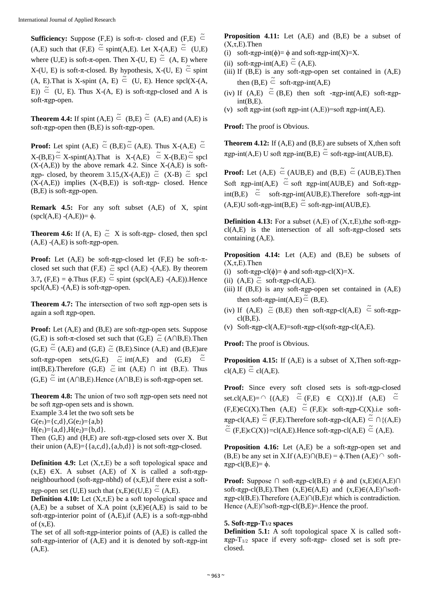**Sufficiency:** Suppose (F,E) is soft-π- closed and (F,E)  $\tilde{\subset}$  $(A,E)$  such that  $(F,E) \subseteq \text{spin}(A,E)$ . Let  $X-(A,E) \subseteq (U,E)$ where (U,E) is soft- $\pi$ -open. Then X-(U, E)  $\tilde{\subset}$  (A, E) where X-(U, E) is soft-π-closed. By hypothesis, X-(U, E)  $\tilde{\subset}$  spint  $(A, E)$ . That is X-spint  $(A, E) \subseteq (U, E)$ . Hence spcl $(X-(A, E))$ E))  $\tilde{\subset}$  (U, E). Thus X-(A, E) is soft- $\pi$ gp-closed and A is soft-πgp-open.

**Theorem 4.4:** If spint  $(A, E) \subseteq (B, E) \subseteq (A, E)$  and  $(A, E)$  is soft- $\pi$ gp-open then (B,E) is soft- $\pi$ gp-open.

**Proof:** Let spint  $(A,E) \subseteq (B,E) \subseteq (A,E)$ . Thus  $X-(A,E) \subseteq$  $X-(B,E) \stackrel{\sim}{\subset} X$ -spint(A).That is  $X-(A,E) \stackrel{\sim}{\subset} X-(B,E) \stackrel{\sim}{\subset}$  spcl  $(X-(A,E))$  by the above remark 4.2. Since  $X-(A,E)$  is soft- $\pi$ gp- closed, by theorem 3.15,(X-(A,E))  $\tilde{\subset}$  (X-B)  $\tilde{\subset}$  spcl  $(X-(A,E))$  implies  $(X-(B,E))$  is soft- $\pi$ gp- closed. Hence  $(B,E)$  is soft- $\pi$ gp-open.

**Remark 4.5:** For any soft subset (A,E) of X, spint  $(spel(A,E) - (A,E)) = \phi.$ 

**Theorem 4.6:** If  $(A, E) \subseteq X$  is soft- $\pi gp$ - closed, then spcl  $(A,E)$  - $(A,E)$  is soft- $\pi$ gp-open.

**Proof:** Let  $(A,E)$  be soft- $\pi$ gp-closed let  $(F,E)$  be soft- $\pi$ closed set such that  $(F,E) \simeq$  spcl  $(A,E)$  - $(A,E)$ . By theorem 3.7,  $(F,E) = \phi$ . Thus  $(F,E) \stackrel{\sim}{\subset}$  spint (spcl(A,E) -(A,E)). Hence spcl( $A,E$ ) -( $A,E$ ) is soft- $\pi$ gp-open.

**Theorem 4.7:** The intersection of two soft πgp-open sets is again a soft πgp-open.

**Proof:** Let (A,E) and (B,E) are soft-πgp-open sets. Suppose  $(G,E)$  is soft- $\pi$ -closed set such that  $(G,E) \subset (A \cap B,E)$ . Then  $(G,E) \nightharpoonup (A,E)$  and  $(G,E) \nightharpoonup (B,E)$ . Since  $(A,E)$  and  $(B,E)$  are soft- $\pi$ gp-open sets,(G,E)  $\tilde{\subset}$  int(A,E) and (G,E)  $\tilde{\subset}$ int(B,E). Therefore (G,E)  $\tilde{c}$  int (A,E)  $\cap$  int (B,E). Thus  $(G,E) \stackrel{\sim}{\subset}$  int (A∩B,E).Hence (A∩B,E) is soft- $\pi$ gp-open set.

**Theorem 4.8:** The union of two soft πgp-open sets need not be soft  $\pi$ gp-open sets and is shown. Example 3.4 let the two soft sets be

 $G(e_1) = {c,d}, G(e_2) = {a,b}$ 

 $H(e_1) = \{a,d\}$ ,  $H(e_2) = \{b,d\}$ .

Then  $(G,E)$  and  $(H,E)$  are soft- $\pi$ gp-closed sets over X. But their union  $(A, E) = \{ \{a,c,d\}, \{a,b,d\} \}$  is not soft- $\pi$ gp-closed.

**Definition 4.9:** Let  $(X, \tau, E)$  be a soft topological space and  $(x,E) \in X$ . A subset  $(A,E)$  of X is called a soft- $\pi$ gpneighbourhood (soft- $\pi$ gp-nbhd) of (x,E),if there exist a soft-

 $\pi$ gp-open set (U,E) such that (x,E)∈(U,E)  $\tilde{\subset}$  (A,E).

**Definition 4.10:** Let  $(X, \tau, E)$  be a soft topological space and  $(A,E)$  be a subset of X.A point  $(x,E) \in (A,E)$  is said to be soft- $\pi$ gp-interior point of  $(A,E)$ , if  $(A,E)$  is a soft- $\pi$ gp-nbhd of  $(x,E)$ .

The set of all soft-πgp-interior points of (A,E) is called the soft- $\pi$ gp-interior of (A,E) and it is denoted by soft- $\pi$ gp-int  $(A,E)$ .

**Proposition 4.11:** Let (A,E) and (B,E) be a subset of  $(X,\tau,E)$ . Then

- (i) soft- $\pi$ gp-int( $\phi$ )=  $\phi$  and soft- $\pi$ gp-int(X)=X.
- (ii) soft- $\pi$ gp-int(A,E)  $\tilde{\subset}$  (A,E).
- (iii) If  $(B, E)$  is any soft- $\pi$ gp-open set contained in  $(A, E)$ then  $(B,E) \subseteq \text{soft-}\pi \text{gp-int}(A,E)$
- (iv) If  $(A,E) \subseteq (B,E)$  then soft - $\pi gp$ -int $(A,E)$  soft- $\pi gp$  $int(B,E)$ .
- (v) soft  $\pi$ gp-int (soft  $\pi$ gp-int (A,E))=soft  $\pi$ gp-int(A,E).

**Proof:** The proof is Obvious.

**Theorem 4.12:** If (A,E) and (B,E) are subsets of X, then soft  $\pi$ gp-int(A,E) U soft  $\pi$ gp-int(B,E)  $\tilde{\subset}$  soft- $\pi$ gp-int(AUB,E).

**Proof:** Let  $(A,E) \in (AUB,E)$  and  $(B,E) \in (AUB,E)$ . Then Soft  $\pi$ gp-int(A,E)  $\tilde{\subset}$  soft  $\pi$ gp-int(AUB,E) and Soft- $\pi$ gp $int(B,E)$   $\tilde{\subset}$  soft-πgp-int(AUB,E). Therefore soft-πgp-int  $(A, E)U$  soft- $\pi gp$ -int $(B, E) \subseteq$  soft- $\pi gp$ -int $(AUB, E)$ .

**Definition 4.13:** For a subset  $(A,E)$  of  $(X,\tau,E)$ , the soft- $\pi$ gp $cl(A, E)$  is the intersection of all soft- $\pi gp$ -closed sets containing (A,E).

**Proposition 4.14:** Let (A,E) and (B,E) be subsets of  $(X,\tau,E)$ . Then

- (i) soft- $\pi$ gp-cl( $\phi$ )=  $\phi$  and soft- $\pi$ gp-cl(X)=X.
- (ii)  $(A,E) \simeq$  soft- $\pi$ gp-cl(A,E).
- (iii) If  $(B,E)$  is any soft- $\pi$ gp-open set contained in  $(A,E)$ then soft- $\pi$ gp-int(A,E) $\tilde{\subset}$  (B,E).
- (iv) If (A,E)  $\tilde{\subset}$  (B,E) then soft- $\pi$ gp-cl(A,E)  $\tilde{\subset}$  soft- $\pi$ gp $cl(B,E)$ .
- (v) Soft- $\pi$ gp-cl(A,E)=soft- $\pi$ gp-cl(soft- $\pi$ gp-cl(A,E).

**Proof:** The proof is Obvious.

**Proposition 4.15:** If (A,E) is a subset of X,Then soft-πgp- $\operatorname{cl}(A,E) \stackrel{\sim}{\subset} \operatorname{cl}(A,E).$ 

**Proof:** Since every soft closed sets is soft-πgp-closed set.cl(A,E)=  $\cap$  {(A,E)  $\tilde{\subset}$  (F,E)  $\in$  C(X)}.If (A,E)  $\tilde{\subset}$  $(F,E)\in C(X)$ . Then  $(A,E) \subseteq (F,E)\in \text{soft-}\pi \text{gp-}C(X)$ .i.e soft- $\pi$ gp-cl(A,E)  $\tilde{\subset}$  (F,E). Therefore soft- $\pi$ gp-cl(A,E)  $\tilde{\subset} \cap \{(A,E)$  $\tilde{\subset}$  (F,E) $\in C(X)$ ]=cl(A,E).Hence soft- $\pi$ gp-cl(A,E)  $\tilde{\subset}$  (A,E).

**Proposition 4.16:** Let (A,E) be a soft-πgp-open set and  $(B, E)$  be any set in X.If  $(A, E) \cap (B, E) = \phi$ . Then  $(A, E) \cap \text{soft}$  $πgp-cl(B,E)=φ.$ 

**Proof:** Suppose  $\cap$  soft- $\pi$ gp-cl(B,E)  $\neq$   $\phi$  and  $(x,E)\in(A,E)\cap$ soft- $\pi$ gp-cl(B,E).Then (x,E)∈(A,E) and (x,E)∈(A,E)∩soft- $\pi$ gp-cl(B,E).Therefore (A,E)∩(B,E)≠ which is contradiction. Hence  $(A, E) \cap \text{soft-}\pi \text{gp-cl}(B, E) =$ . Hence the proof.

## **5. Soft-πgp-T1/2 spaces**

**Definition 5.1:** A soft topological space X is called soft- $\pi$ gp-T<sub>1/2</sub> space if every soft- $\pi$ gp- closed set is soft preclosed.